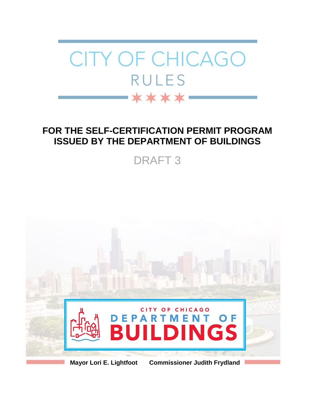

# **FOR THE SELF-CERTIFICATION PERMIT PROGRAM ISSUED BY THE DEPARTMENT OF BUILDINGS**

DRAFT 3

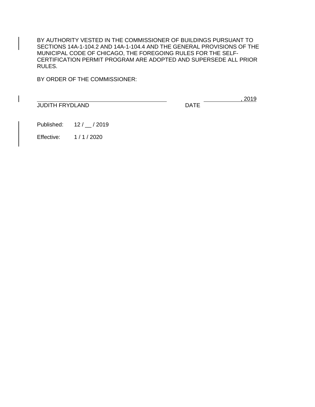BY AUTHORITY VESTED IN THE COMMISSIONER OF BUILDINGS PURSUANT TO SECTIONS 14A-1-104.2 AND 14A-1-104.4 AND THE GENERAL PROVISIONS OF THE MUNICIPAL CODE OF CHICAGO, THE FOREGOING RULES FOR THE SELF-CERTIFICATION PERMIT PROGRAM ARE ADOPTED AND SUPERSEDE ALL PRIOR RULES.

BY ORDER OF THE COMMISSIONER:

**JUDITH FRYDLAND** DATE

, 2019

Published: 12 / 12 / 2019

Effective: 1 / 1 / 2020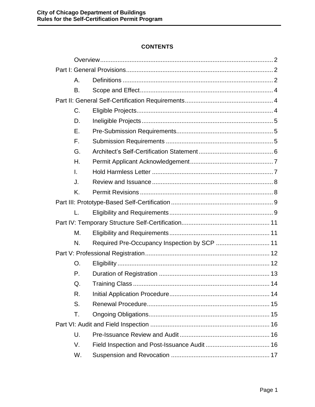# **CONTENTS**

<span id="page-2-0"></span>

| А.             |  |
|----------------|--|
| B.             |  |
|                |  |
| $C_{\cdot}$    |  |
| D.             |  |
| Ε.             |  |
| F.             |  |
| G.             |  |
| Η.             |  |
| $\mathbf{L}$   |  |
| J.             |  |
| K.             |  |
|                |  |
| $\mathbf{L}$ . |  |
|                |  |
| М.             |  |
| N.             |  |
|                |  |
| O.             |  |
| $P_{\cdot}$    |  |
| Q.             |  |
| R.             |  |
| S.             |  |
| Τ.             |  |
|                |  |
| U.             |  |
| V.             |  |
| W.             |  |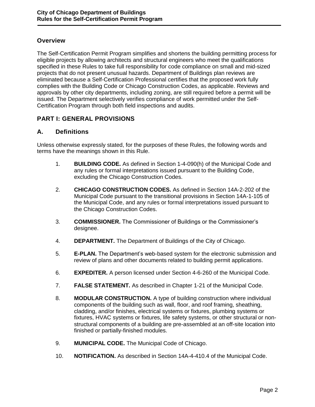#### **Overview**

The Self-Certification Permit Program simplifies and shortens the building permitting process for eligible projects by allowing architects and structural engineers who meet the qualifications specified in these Rules to take full responsibility for code compliance on small and mid-sized projects that do not present unusual hazards. Department of Buildings plan reviews are eliminated because a Self-Certification Professional certifies that the proposed work fully complies with the Building Code or Chicago Construction Codes, as applicable. Reviews and approvals by other city departments, including zoning, are still required before a permit will be issued. The Department selectively verifies compliance of work permitted under the Self-Certification Program through both field inspections and audits.

# <span id="page-3-0"></span>**PART I: GENERAL PROVISIONS**

#### <span id="page-3-1"></span>**A. Definitions**

Unless otherwise expressly stated, for the purposes of these Rules, the following words and terms have the meanings shown in this Rule.

- 1. **BUILDING CODE.** As defined in Section 1-4-090(h) of the Municipal Code and any rules or formal interpretations issued pursuant to the Building Code, excluding the Chicago Construction Codes.
- 2. **CHICAGO CONSTRUCTION CODES.** As defined in Section 14A-2-202 of the Municipal Code pursuant to the transitional provisions in Section 14A-1-105 of the Municipal Code, and any rules or formal interpretations issued pursuant to the Chicago Construction Codes.
- 3. **COMMISSIONER.** The Commissioner of Buildings or the Commissioner's designee.
- 4. **DEPARTMENT.** The Department of Buildings of the City of Chicago.
- 5. **E-PLAN.** The Department's web-based system for the electronic submission and review of plans and other documents related to building permit applications.
- 6. **EXPEDITER.** A person licensed under Section 4-6-260 of the Municipal Code.
- 7. **FALSE STATEMENT.** As described in Chapter 1-21 of the Municipal Code.
- 8. **MODULAR CONSTRUCTION.** A type of building construction where individual components of the building such as wall, floor, and roof framing, sheathing, cladding, and/or finishes, electrical systems or fixtures, plumbing systems or fixtures, HVAC systems or fixtures, life safety systems, or other structural or nonstructural components of a building are pre-assembled at an off-site location into finished or partially-finished modules.
- 9. **MUNICIPAL CODE.** The Municipal Code of Chicago.
- 10. **NOTIFICATION.** As described in Section 14A-4-410.4 of the Municipal Code.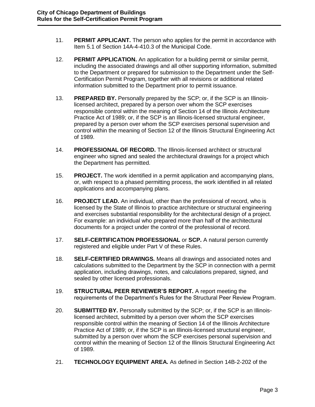- 11. **PERMIT APPLICANT.** The person who applies for the permit in accordance with Item 5.1 of Section 14A-4-410.3 of the Municipal Code.
- 12. **PERMIT APPLICATION.** An application for a building permit or similar permit, including the associated drawings and all other supporting information, submitted to the Department or prepared for submission to the Department under the Self-Certification Permit Program, together with all revisions or additional related information submitted to the Department prior to permit issuance.
- 13. **PREPARED BY.** Personally prepared by the SCP; or, if the SCP is an Illinoislicensed architect, prepared by a person over whom the SCP exercises responsible control within the meaning of Section 14 of the Illinois Architecture Practice Act of 1989; or, if the SCP is an Illinois-licensed structural engineer, prepared by a person over whom the SCP exercises personal supervision and control within the meaning of Section 12 of the Illinois Structural Engineering Act of 1989.
- 14. **PROFESSIONAL OF RECORD.** The Illinois-licensed architect or structural engineer who signed and sealed the architectural drawings for a project which the Department has permitted.
- 15. **PROJECT.** The work identified in a permit application and accompanying plans, or, with respect to a phased permitting process, the work identified in all related applications and accompanying plans.
- 16. **PROJECT LEAD.** An individual, other than the professional of record, who is licensed by the State of Illinois to practice architecture or structural engineering and exercises substantial responsibility for the architectural design of a project. For example: an individual who prepared more than half of the architectural documents for a project under the control of the professional of record.
- 17. **SELF-CERTIFICATION PROFESSIONAL** or **SCP.** A natural person currently registered and eligible under Part V of these Rules.
- 18. **SELF-CERTIFIED DRAWINGS.** Means all drawings and associated notes and calculations submitted to the Department by the SCP in connection with a permit application, including drawings, notes, and calculations prepared, signed, and sealed by other licensed professionals.
- 19. **STRUCTURAL PEER REVIEWER'S REPORT.** A report meeting the requirements of the Department's Rules for the Structural Peer Review Program.
- 20. **SUBMITTED BY.** Personally submitted by the SCP; or, if the SCP is an Illinoislicensed architect, submitted by a person over whom the SCP exercises responsible control within the meaning of Section 14 of the Illinois Architecture Practice Act of 1989; or, if the SCP is an Illinois-licensed structural engineer, submitted by a person over whom the SCP exercises personal supervision and control within the meaning of Section 12 of the Illinois Structural Engineering Act of 1989.
- 21. **TECHNOLOGY EQUIPMENT AREA.** As defined in Section 14B-2-202 of the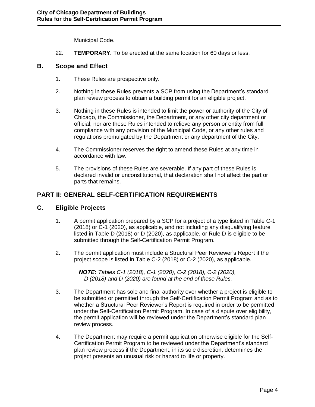Municipal Code.

22. **TEMPORARY.** To be erected at the same location for 60 days or less.

#### <span id="page-5-0"></span>**B. Scope and Effect**

- 1. These Rules are prospective only.
- 2. Nothing in these Rules prevents a SCP from using the Department's standard plan review process to obtain a building permit for an eligible project.
- 3. Nothing in these Rules is intended to limit the power or authority of the City of Chicago, the Commissioner, the Department, or any other city department or official; nor are these Rules intended to relieve any person or entity from full compliance with any provision of the Municipal Code, or any other rules and regulations promulgated by the Department or any department of the City.
- 4. The Commissioner reserves the right to amend these Rules at any time in accordance with law.
- 5. The provisions of these Rules are severable. If any part of these Rules is declared invalid or unconstitutional, that declaration shall not affect the part or parts that remains.

# <span id="page-5-1"></span>**PART II: GENERAL SELF-CERTIFICATION REQUIREMENTS**

#### <span id="page-5-2"></span>**C. Eligible Projects**

- 1. A permit application prepared by a SCP for a project of a type listed in Table C-1 (2018) or C-1 (2020), as applicable, and not including any disqualifying feature listed in Table D (2018) or D (2020), as applicable, or Rule D is eligible to be submitted through the Self-Certification Permit Program.
- 2. The permit application must include a Structural Peer Reviewer's Report if the project scope is listed in Table C-2 (2018) or C-2 (2020), as applicable.

*NOTE: Tables C-1 (2018), C-1 (2020), C-2 (2018), C-2 (2020), D (2018) and D (2020) are found at the end of these Rules.*

- 3. The Department has sole and final authority over whether a project is eligible to be submitted or permitted through the Self-Certification Permit Program and as to whether a Structural Peer Reviewer's Report is required in order to be permitted under the Self-Certification Permit Program. In case of a dispute over eligibility, the permit application will be reviewed under the Department's standard plan review process.
- 4. The Department may require a permit application otherwise eligible for the Self-Certification Permit Program to be reviewed under the Department's standard plan review process if the Department, in its sole discretion, determines the project presents an unusual risk or hazard to life or property.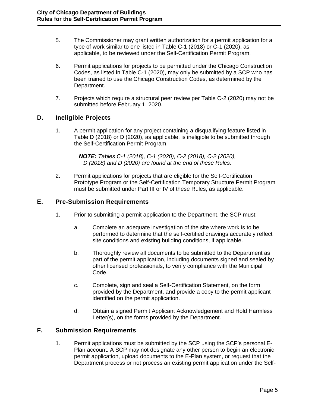- 5. The Commissioner may grant written authorization for a permit application for a type of work similar to one listed in Table C-1 (2018) or C-1 (2020), as applicable, to be reviewed under the Self-Certification Permit Program.
- 6. Permit applications for projects to be permitted under the Chicago Construction Codes, as listed in Table C-1 (2020), may only be submitted by a SCP who has been trained to use the Chicago Construction Codes, as determined by the Department.
- 7. Projects which require a structural peer review per Table C-2 (2020) may not be submitted before February 1, 2020.

# <span id="page-6-0"></span>**D. Ineligible Projects**

1. A permit application for any project containing a disqualifying feature listed in Table D (2018) or D (2020), as applicable, is ineligible to be submitted through the Self-Certification Permit Program.

> *NOTE: Tables C-1 (2018), C-1 (2020), C-2 (2018), C-2 (2020), D (2018) and D (2020) are found at the end of these Rules.*

2. Permit applications for projects that are eligible for the Self-Certification Prototype Program or the Self-Certification Temporary Structure Permit Program must be submitted under Part III or IV of these Rules, as applicable.

### <span id="page-6-1"></span>**E. Pre-Submission Requirements**

- 1. Prior to submitting a permit application to the Department, the SCP must:
	- a. Complete an adequate investigation of the site where work is to be performed to determine that the self-certified drawings accurately reflect site conditions and existing building conditions, if applicable.
	- b. Thoroughly review all documents to be submitted to the Department as part of the permit application, including documents signed and sealed by other licensed professionals, to verify compliance with the Municipal Code.
	- c. Complete, sign and seal a Self-Certification Statement, on the form provided by the Department, and provide a copy to the permit applicant identified on the permit application.
	- d. Obtain a signed Permit Applicant Acknowledgement and Hold Harmless Letter(s), on the forms provided by the Department.

### <span id="page-6-2"></span>**F. Submission Requirements**

1. Permit applications must be submitted by the SCP using the SCP's personal E-Plan account. A SCP may not designate any other person to begin an electronic permit application, upload documents to the E-Plan system, or request that the Department process or not process an existing permit application under the Self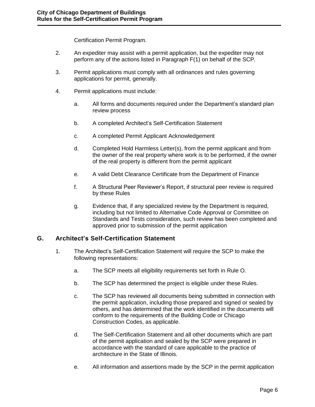Certification Permit Program.

- 2. An expediter may assist with a permit application, but the expediter may not perform any of the actions listed in Paragraph F(1) on behalf of the SCP.
- 3. Permit applications must comply with all ordinances and rules governing applications for permit, generally.
- 4. Permit applications must include:
	- a. All forms and documents required under the Department's standard plan review process
	- b. A completed Architect's Self-Certification Statement
	- c. A completed Permit Applicant Acknowledgement
	- d. Completed Hold Harmless Letter(s), from the permit applicant and from the owner of the real property where work is to be performed, if the owner of the real property is different from the permit applicant
	- e. A valid Debt Clearance Certificate from the Department of Finance
	- f. A Structural Peer Reviewer's Report, if structural peer review is required by these Rules
	- g. Evidence that, if any specialized review by the Department is required, including but not limited to Alternative Code Approval or Committee on Standards and Tests consideration, such review has been completed and approved prior to submission of the permit application

### <span id="page-7-0"></span>**G. Architect's Self-Certification Statement**

- 1. The Architect's Self-Certification Statement will require the SCP to make the following representations:
	- a. The SCP meets all eligibility requirements set forth in Rule O.
	- b. The SCP has determined the project is eligible under these Rules.
	- c. The SCP has reviewed all documents being submitted in connection with the permit application, including those prepared and signed or sealed by others, and has determined that the work identified in the documents will conform to the requirements of the Building Code or Chicago Construction Codes, as applicable.
	- d. The Self-Certification Statement and all other documents which are part of the permit application and sealed by the SCP were prepared in accordance with the standard of care applicable to the practice of architecture in the State of Illinois.
	- e. All information and assertions made by the SCP in the permit application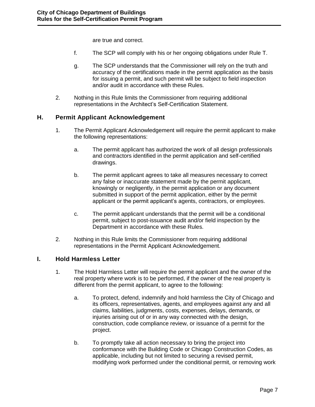are true and correct.

- f. The SCP will comply with his or her ongoing obligations under Rule T.
- g. The SCP understands that the Commissioner will rely on the truth and accuracy of the certifications made in the permit application as the basis for issuing a permit, and such permit will be subject to field inspection and/or audit in accordance with these Rules.
- 2. Nothing in this Rule limits the Commissioner from requiring additional representations in the Architect's Self-Certification Statement.

### <span id="page-8-0"></span>**H. Permit Applicant Acknowledgement**

- 1. The Permit Applicant Acknowledgement will require the permit applicant to make the following representations:
	- a. The permit applicant has authorized the work of all design professionals and contractors identified in the permit application and self-certified drawings.
	- b. The permit applicant agrees to take all measures necessary to correct any false or inaccurate statement made by the permit applicant, knowingly or negligently, in the permit application or any document submitted in support of the permit application, either by the permit applicant or the permit applicant's agents, contractors, or employees.
	- c. The permit applicant understands that the permit will be a conditional permit, subject to post-issuance audit and/or field inspection by the Department in accordance with these Rules.
- 2. Nothing in this Rule limits the Commissioner from requiring additional representations in the Permit Applicant Acknowledgement.

### <span id="page-8-1"></span>**I. Hold Harmless Letter**

- 1. The Hold Harmless Letter will require the permit applicant and the owner of the real property where work is to be performed, if the owner of the real property is different from the permit applicant, to agree to the following:
	- a. To protect, defend, indemnify and hold harmless the City of Chicago and its officers, representatives, agents, and employees against any and all claims, liabilities, judgments, costs, expenses, delays, demands, or injuries arising out of or in any way connected with the design, construction, code compliance review, or issuance of a permit for the project.
	- b. To promptly take all action necessary to bring the project into conformance with the Building Code or Chicago Construction Codes, as applicable, including but not limited to securing a revised permit, modifying work performed under the conditional permit, or removing work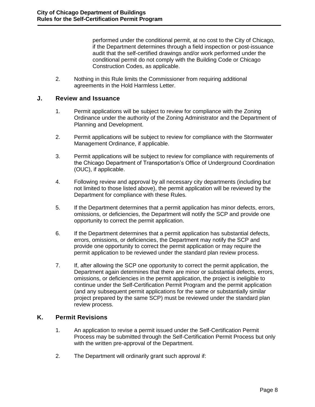performed under the conditional permit, at no cost to the City of Chicago, if the Department determines through a field inspection or post-issuance audit that the self-certified drawings and/or work performed under the conditional permit do not comply with the Building Code or Chicago Construction Codes, as applicable.

2. Nothing in this Rule limits the Commissioner from requiring additional agreements in the Hold Harmless Letter.

#### <span id="page-9-0"></span>**J. Review and Issuance**

- 1. Permit applications will be subject to review for compliance with the Zoning Ordinance under the authority of the Zoning Administrator and the Department of Planning and Development.
- 2. Permit applications will be subject to review for compliance with the Stormwater Management Ordinance, if applicable.
- 3. Permit applications will be subject to review for compliance with requirements of the Chicago Department of Transportation's Office of Underground Coordination (OUC), if applicable.
- 4. Following review and approval by all necessary city departments (including but not limited to those listed above), the permit application will be reviewed by the Department for compliance with these Rules.
- 5. If the Department determines that a permit application has minor defects, errors, omissions, or deficiencies, the Department will notify the SCP and provide one opportunity to correct the permit application.
- 6. If the Department determines that a permit application has substantial defects, errors, omissions, or deficiencies, the Department may notify the SCP and provide one opportunity to correct the permit application or may require the permit application to be reviewed under the standard plan review process.
- 7. If, after allowing the SCP one opportunity to correct the permit application, the Department again determines that there are minor or substantial defects, errors, omissions, or deficiencies in the permit application, the project is ineligible to continue under the Self-Certification Permit Program and the permit application (and any subsequent permit applications for the same or substantially similar project prepared by the same SCP) must be reviewed under the standard plan review process.

### <span id="page-9-1"></span>**K. Permit Revisions**

- 1. An application to revise a permit issued under the Self-Certification Permit Process may be submitted through the Self-Certification Permit Process but only with the written pre-approval of the Department.
- 2. The Department will ordinarily grant such approval if: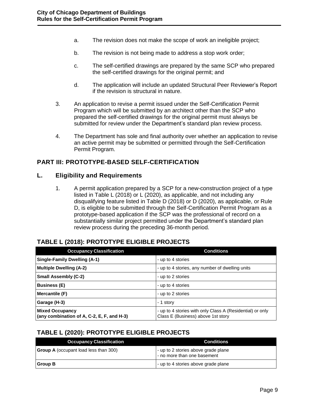- a. The revision does not make the scope of work an ineligible project;
- b. The revision is not being made to address a stop work order;
- c. The self-certified drawings are prepared by the same SCP who prepared the self-certified drawings for the original permit; and
- d. The application will include an updated Structural Peer Reviewer's Report if the revision is structural in nature.
- 3. An application to revise a permit issued under the Self-Certification Permit Program which will be submitted by an architect other than the SCP who prepared the self-certified drawings for the original permit must always be submitted for review under the Department's standard plan review process.
- 4. The Department has sole and final authority over whether an application to revise an active permit may be submitted or permitted through the Self-Certification Permit Program.

# <span id="page-10-0"></span>**PART III: PROTOTYPE-BASED SELF-CERTIFICATION**

#### <span id="page-10-1"></span>**L. Eligibility and Requirements**

1. A permit application prepared by a SCP for a new-construction project of a type listed in Table L (2018) or L (2020), as applicable, and not including any disqualifying feature listed in Table D (2018) or D (2020), as applicable, or Rule D, is eligible to be submitted through the Self-Certification Permit Program as a prototype-based application if the SCP was the professional of record on a substantially similar project permitted under the Department's standard plan review process during the preceding 36-month period.

### **TABLE L (2018): PROTOTYPE ELIGIBLE PROJECTS**

| <b>Occupancy Classification</b>                                              | <b>Conditions</b>                                                                               |
|------------------------------------------------------------------------------|-------------------------------------------------------------------------------------------------|
| <b>Single-Family Dwelling (A-1)</b>                                          | - up to 4 stories                                                                               |
| Multiple Dwelling (A-2)                                                      | - up to 4 stories, any number of dwelling units                                                 |
| <b>Small Assembly (C-2)</b>                                                  | - up to 2 stories                                                                               |
| <b>Business (E)</b>                                                          | - up to 4 stories                                                                               |
| Mercantile (F)                                                               | - up to 2 stories                                                                               |
| Garage (H-3)                                                                 | - 1 story                                                                                       |
| <b>Mixed Occupancy</b><br>$\vert$ (any combination of A, C-2, E, F, and H-3) | - up to 4 stories with only Class A (Residential) or only<br>Class E (Business) above 1st story |

### **TABLE L (2020): PROTOTYPE ELIGIBLE PROJECTS**

| <b>Occupancy Classification</b>              | Conditions                                                         |
|----------------------------------------------|--------------------------------------------------------------------|
| <b>Group A</b> (occupant load less than 300) | - up to 2 stories above grade plane<br>- no more than one basement |
| Group B                                      | - up to 4 stories above grade plane                                |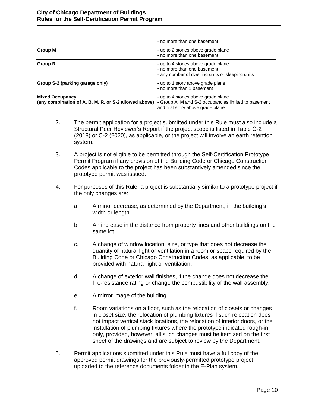|                                                                                                                                      | - no more than one basement                                                                                            |
|--------------------------------------------------------------------------------------------------------------------------------------|------------------------------------------------------------------------------------------------------------------------|
| Group M                                                                                                                              | - up to 2 stories above grade plane<br>- no more than one basement                                                     |
| <b>Group R</b>                                                                                                                       | - up to 4 stories above grade plane<br>- no more than one basement<br>- any number of dwelling units or sleeping units |
| Group S-2 (parking garage only)                                                                                                      | - up to 1 story above grade plane<br>- no more than 1 basement                                                         |
| <b>Mixed Occupancy</b><br>(any combination of A, B, M, R, or S-2 allowed above) - Group A, M and S-2 occupancies limited to basement | - up to 4 stories above grade plane<br>and first story above grade plane                                               |

- 2. The permit application for a project submitted under this Rule must also include a Structural Peer Reviewer's Report if the project scope is listed in Table C-2 (2018) or C-2 (2020), as applicable, or the project will involve an earth retention system.
- 3. A project is not eligible to be permitted through the Self-Certification Prototype Permit Program if any provision of the Building Code or Chicago Construction Codes applicable to the project has been substantively amended since the prototype permit was issued.
- 4. For purposes of this Rule, a project is substantially similar to a prototype project if the only changes are:
	- a. A minor decrease, as determined by the Department, in the building's width or length.
	- b. An increase in the distance from property lines and other buildings on the same lot.
	- c. A change of window location, size, or type that does not decrease the quantity of natural light or ventilation in a room or space required by the Building Code or Chicago Construction Codes, as applicable, to be provided with natural light or ventilation.
	- d. A change of exterior wall finishes, if the change does not decrease the fire-resistance rating or change the combustibility of the wall assembly.
	- e. A mirror image of the building.
	- f. Room variations on a floor, such as the relocation of closets or changes in closet size, the relocation of plumbing fixtures if such relocation does not impact vertical stack locations, the relocation of interior doors, or the installation of plumbing fixtures where the prototype indicated rough-in only, provided, however, all such changes must be itemized on the first sheet of the drawings and are subject to review by the Department.
- 5. Permit applications submitted under this Rule must have a full copy of the approved permit drawings for the previously-permitted prototype project uploaded to the reference documents folder in the E-Plan system.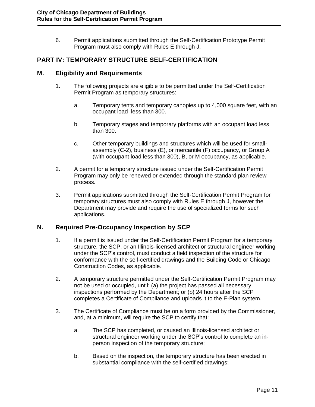6. Permit applications submitted through the Self-Certification Prototype Permit Program must also comply with Rules E through J.

### <span id="page-12-0"></span>**PART IV: TEMPORARY STRUCTURE SELF-CERTIFICATION**

#### <span id="page-12-1"></span>**M. Eligibility and Requirements**

- 1. The following projects are eligible to be permitted under the Self-Certification Permit Program as temporary structures:
	- a. Temporary tents and temporary canopies up to 4,000 square feet, with an occupant load less than 300.
	- b. Temporary stages and temporary platforms with an occupant load less than 300.
	- c. Other temporary buildings and structures which will be used for smallassembly (C-2), business (E), or mercantile (F) occupancy, or Group A (with occupant load less than 300), B, or M occupancy, as applicable.
- 2. A permit for a temporary structure issued under the Self-Certification Permit Program may only be renewed or extended through the standard plan review process.
- 3. Permit applications submitted through the Self-Certification Permit Program for temporary structures must also comply with Rules E through J, however the Department may provide and require the use of specialized forms for such applications.

### <span id="page-12-2"></span>**N. Required Pre-Occupancy Inspection by SCP**

- 1. If a permit is issued under the Self-Certification Permit Program for a temporary structure, the SCP, or an Illinois-licensed architect or structural engineer working under the SCP's control, must conduct a field inspection of the structure for conformance with the self-certified drawings and the Building Code or Chicago Construction Codes, as applicable.
- 2. A temporary structure permitted under the Self-Certification Permit Program may not be used or occupied, until: (a) the project has passed all necessary inspections performed by the Department; or (b) 24 hours after the SCP completes a Certificate of Compliance and uploads it to the E-Plan system.
- 3. The Certificate of Compliance must be on a form provided by the Commissioner, and, at a minimum, will require the SCP to certify that:
	- a. The SCP has completed, or caused an Illinois-licensed architect or structural engineer working under the SCP's control to complete an inperson inspection of the temporary structure;
	- b. Based on the inspection, the temporary structure has been erected in substantial compliance with the self-certified drawings;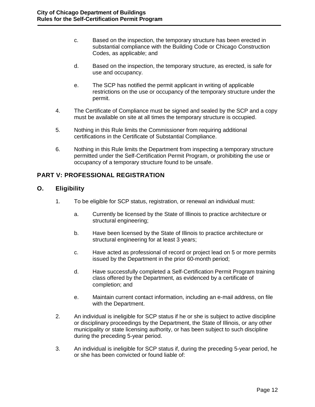- c. Based on the inspection, the temporary structure has been erected in substantial compliance with the Building Code or Chicago Construction Codes, as applicable; and
- d. Based on the inspection, the temporary structure, as erected, is safe for use and occupancy.
- e. The SCP has notified the permit applicant in writing of applicable restrictions on the use or occupancy of the temporary structure under the permit.
- 4. The Certificate of Compliance must be signed and sealed by the SCP and a copy must be available on site at all times the temporary structure is occupied.
- 5. Nothing in this Rule limits the Commissioner from requiring additional certifications in the Certificate of Substantial Compliance.
- 6. Nothing in this Rule limits the Department from inspecting a temporary structure permitted under the Self-Certification Permit Program, or prohibiting the use or occupancy of a temporary structure found to be unsafe.

# <span id="page-13-0"></span>**PART V: PROFESSIONAL REGISTRATION**

# <span id="page-13-1"></span>**O. Eligibility**

- 1. To be eligible for SCP status, registration, or renewal an individual must:
	- a. Currently be licensed by the State of Illinois to practice architecture or structural engineering;
	- b. Have been licensed by the State of Illinois to practice architecture or structural engineering for at least 3 years;
	- c. Have acted as professional of record or project lead on 5 or more permits issued by the Department in the prior 60-month period;
	- d. Have successfully completed a Self-Certification Permit Program training class offered by the Department, as evidenced by a certificate of completion; and
	- e. Maintain current contact information, including an e-mail address, on file with the Department.
- 2. An individual is ineligible for SCP status if he or she is subject to active discipline or disciplinary proceedings by the Department, the State of Illinois, or any other municipality or state licensing authority, or has been subject to such discipline during the preceding 5-year period.
- 3. An individual is ineligible for SCP status if, during the preceding 5-year period, he or she has been convicted or found liable of: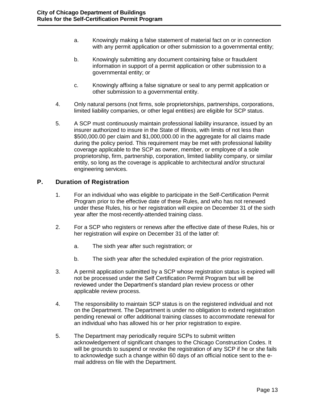- <span id="page-14-1"></span>a. Knowingly making a false statement of material fact on or in connection with any permit application or other submission to a governmental entity;
- b. Knowingly submitting any document containing false or fraudulent information in support of a permit application or other submission to a governmental entity; or
- c. Knowingly affixing a false signature or seal to any permit application or other submission to a governmental entity.
- 4. Only natural persons (not firms, sole proprietorships, partnerships, corporations, limited liability companies, or other legal entities) are eligible for SCP status.
- 5. A SCP must continuously maintain professional liability insurance, issued by an insurer authorized to insure in the State of Illinois, with limits of not less than \$500,000.00 per claim and \$1,000,000.00 in the aggregate for all claims made during the policy period. This requirement may be met with professional liability coverage applicable to the SCP as owner, member, or employee of a sole proprietorship, firm, partnership, corporation, limited liability company, or similar entity, so long as the coverage is applicable to architectural and/or structural engineering services.

# <span id="page-14-0"></span>**P. Duration of Registration**

- 1. For an individual who was eligible to participate in the Self-Certification Permit Program prior to the effective date of these Rules, and who has not renewed under these Rules, his or her registration will expire on December 31 of the sixth year after the most-recently-attended training class.
- 2. For a SCP who registers or renews after the effective date of these Rules, his or her registration will expire on December 31 of the latter of:
	- a. The sixth year after such registration; or
	- b. The sixth year after the scheduled expiration of the prior registration.
- 3. A permit application submitted by a SCP whose registration status is expired will not be processed under the Self Certification Permit Program but will be reviewed under the Department's standard plan review process or other applicable review process.
- 4. The responsibility to maintain SCP status is on the registered individual and not on the Department. The Department is under no obligation to extend registration pending renewal or offer additional training classes to accommodate renewal for an individual who has allowed his or her prior registration to expire.
- 5. The Department may periodically require SCPs to submit written acknowledgement of significant changes to the Chicago Construction Codes. It will be grounds to suspend or revoke the registration of any SCP if he or she fails to acknowledge such a change within 60 days of an official notice sent to the email address on file with the Department.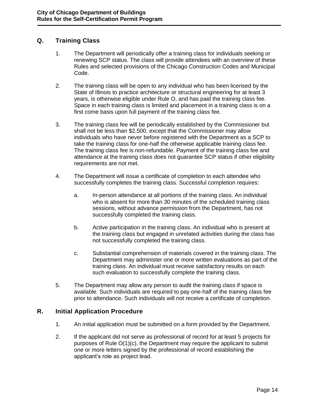# **Q. Training Class**

- 1. The Department will periodically offer a training class for individuals seeking or renewing SCP status. The class will provide attendees with an overview of these Rules and selected provisions of the Chicago Construction Codes and Municipal Code.
- 2. The training class will be open to any individual who has been licensed by the State of Illinois to practice architecture or structural engineering for at least 3 years, is otherwise eligible under Rule O, and has paid the training class fee. Space in each training class is limited and placement in a training class is on a first come basis upon full payment of the training class fee.
- 3. The training class fee will be periodically established by the Commissioner but shall not be less than \$2,500, except that the Commissioner may allow individuals who have never before registered with the Department as a SCP to take the training class for one-half the otherwise applicable training class fee. The training class fee is non-refundable. Payment of the training class fee and attendance at the training class does not guarantee SCP status if other eligibility requirements are not met.
- 4. The Department will issue a certificate of completion to each attendee who successfully completes the training class. Successful completion requires:
	- a. In-person attendance at all portions of the training class. An individual who is absent for more than 30 minutes of the scheduled training class sessions, without advance permission from the Department, has not successfully completed the training class.
	- b. Active participation in the training class. An individual who is present at the training class but engaged in unrelated activities during the class has not successfully completed the training class.
	- c. Substantial comprehension of materials covered in the training class. The Department may administer one or more written evaluations as part of the training class. An individual must receive satisfactory results on each such evaluation to successfully complete the training class.
- 5. The Department may allow any person to audit the training class if space is available. Such individuals are required to pay one-half of the training class fee prior to attendance. Such individuals will not receive a certificate of completion.

### <span id="page-15-0"></span>**R. Initial Application Procedure**

- 1. An initial application must be submitted on a form provided by the Department.
- 2. If the applicant did not serve as professional of record for at least 5 projects for purposes of Rule O(1)(c), the Department may require the applicant to submit one or more letters signed by the professional of record establishing the applicant's role as project lead.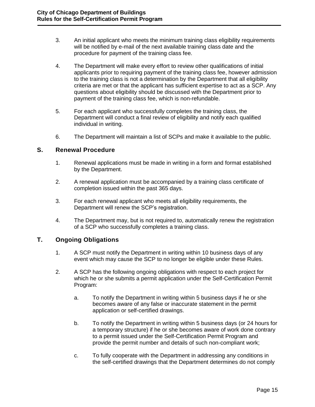- 3. An initial applicant who meets the minimum training class eligibility requirements will be notified by e-mail of the next available training class date and the procedure for payment of the training class fee.
- 4. The Department will make every effort to review other qualifications of initial applicants prior to requiring payment of the training class fee, however admission to the training class is not a determination by the Department that all eligibility criteria are met or that the applicant has sufficient expertise to act as a SCP. Any questions about eligibility should be discussed with the Department prior to payment of the training class fee, which is non-refundable.
- 5. For each applicant who successfully completes the training class, the Department will conduct a final review of eligibility and notify each qualified individual in writing.
- 6. The Department will maintain a list of SCPs and make it available to the public.

#### <span id="page-16-0"></span>**S. Renewal Procedure**

- 1. Renewal applications must be made in writing in a form and format established by the Department.
- 2. A renewal application must be accompanied by a training class certificate of completion issued within the past 365 days.
- 3. For each renewal applicant who meets all eligibility requirements, the Department will renew the SCP's registration.
- 4. The Department may, but is not required to, automatically renew the registration of a SCP who successfully completes a training class.

### <span id="page-16-1"></span>**T. Ongoing Obligations**

- 1. A SCP must notify the Department in writing within 10 business days of any event which may cause the SCP to no longer be eligible under these Rules.
- 2. A SCP has the following ongoing obligations with respect to each project for which he or she submits a permit application under the Self-Certification Permit Program:
	- a. To notify the Department in writing within 5 business days if he or she becomes aware of any false or inaccurate statement in the permit application or self-certified drawings.
	- b. To notify the Department in writing within 5 business days (or 24 hours for a temporary structure) if he or she becomes aware of work done contrary to a permit issued under the Self-Certification Permit Program and provide the permit number and details of such non-compliant work;
	- c. To fully cooperate with the Department in addressing any conditions in the self-certified drawings that the Department determines do not comply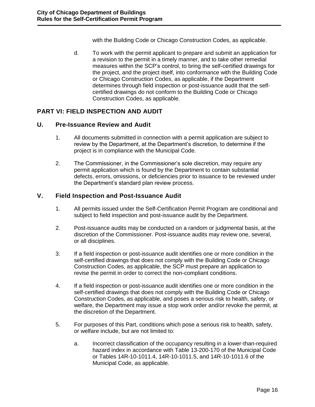with the Building Code or Chicago Construction Codes, as applicable.

d. To work with the permit applicant to prepare and submit an application for a revision to the permit in a timely manner, and to take other remedial measures within the SCP's control, to bring the self-certified drawings for the project, and the project itself, into conformance with the Building Code or Chicago Construction Codes, as applicable, if the Department determines through field inspection or post-issuance audit that the selfcertified drawings do not conform to the Building Code or Chicago Construction Codes, as applicable.

# <span id="page-17-0"></span>**PART VI: FIELD INSPECTION AND AUDIT**

#### <span id="page-17-1"></span>**U. Pre-Issuance Review and Audit**

- 1. All documents submitted in connection with a permit application are subject to review by the Department, at the Department's discretion, to determine if the project is in compliance with the Municipal Code.
- 2. The Commissioner, in the Commissioner's sole discretion, may require any permit application which is found by the Department to contain substantial defects, errors, omissions, or deficiencies prior to issuance to be reviewed under the Department's standard plan review process.

### <span id="page-17-2"></span>**V. Field Inspection and Post-Issuance Audit**

- 1. All permits issued under the Self-Certification Permit Program are conditional and subject to field inspection and post-issuance audit by the Department.
- 2. Post-issuance audits may be conducted on a random or judgmental basis, at the discretion of the Commissioner. Post-issuance audits may review one, several, or all disciplines.
- 3. If a field inspection or post-issuance audit identifies one or more condition in the self-certified drawings that does not comply with the Building Code or Chicago Construction Codes, as applicable, the SCP must prepare an application to revise the permit in order to correct the non-compliant conditions.
- 4. If a field inspection or post-issuance audit identifies one or more condition in the self-certified drawings that does not comply with the Building Code or Chicago Construction Codes, as applicable, and poses a serious risk to health, safety, or welfare, the Department may issue a stop work order and/or revoke the permit, at the discretion of the Department.
- 5. For purposes of this Part, conditions which pose a serious risk to health, safety, or welfare include, but are not limited to:
	- a. Incorrect classification of the occupancy resulting in a lower-than-required hazard index in accordance with Table 13-200-170 of the Municipal Code or Tables 14R-10-1011.4, 14R-10-1011.5, and 14R-10-1011.6 of the Municipal Code, as applicable.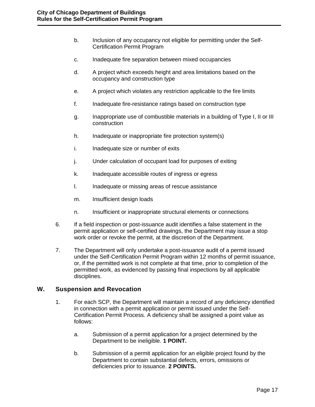- b. Inclusion of any occupancy not eligible for permitting under the Self-Certification Permit Program
- c. Inadequate fire separation between mixed occupancies
- d. A project which exceeds height and area limitations based on the occupancy and construction type
- e. A project which violates any restriction applicable to the fire limits
- f. Inadequate fire-resistance ratings based on construction type
- g. Inappropriate use of combustible materials in a building of Type I, II or III construction
- h. Inadequate or inappropriate fire protection system(s)
- i. Inadequate size or number of exits
- j. Under calculation of occupant load for purposes of exiting
- k. Inadequate accessible routes of ingress or egress
- l. Inadequate or missing areas of rescue assistance
- m. Insufficient design loads
- n. Insufficient or inappropriate structural elements or connections
- 6. If a field inspection or post-issuance audit identifies a false statement in the permit application or self-certified drawings, the Department may issue a stop work order or revoke the permit, at the discretion of the Department.
- 7. The Department will only undertake a post-issuance audit of a permit issued under the Self-Certification Permit Program within 12 months of permit issuance, or, if the permitted work is not complete at that time, prior to completion of the permitted work, as evidenced by passing final inspections by all applicable disciplines.

### <span id="page-18-0"></span>**W. Suspension and Revocation**

- 1. For each SCP, the Department will maintain a record of any deficiency identified in connection with a permit application or permit issued under the Self-Certification Permit Process. A deficiency shall be assigned a point value as follows:
	- a. Submission of a permit application for a project determined by the Department to be ineligible. **1 POINT.**
	- b. Submission of a permit application for an eligible project found by the Department to contain substantial defects, errors, omissions or deficiencies prior to issuance. **2 POINTS.**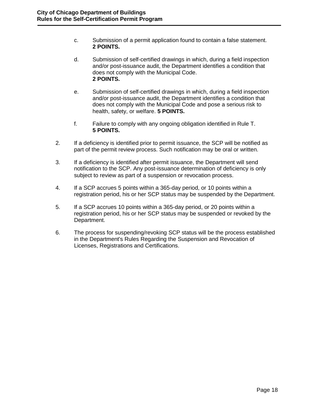- c. Submission of a permit application found to contain a false statement. **2 POINTS.**
- d. Submission of self-certified drawings in which, during a field inspection and/or post-issuance audit, the Department identifies a condition that does not comply with the Municipal Code. **2 POINTS.**
- e. Submission of self-certified drawings in which, during a field inspection and/or post-issuance audit, the Department identifies a condition that does not comply with the Municipal Code and pose a serious risk to health, safety, or welfare. **5 POINTS.**
- f. Failure to comply with any ongoing obligation identified in Rule T. **5 POINTS.**
- 2. If a deficiency is identified prior to permit issuance, the SCP will be notified as part of the permit review process. Such notification may be oral or written.
- 3. If a deficiency is identified after permit issuance, the Department will send notification to the SCP. Any post-issuance determination of deficiency is only subject to review as part of a suspension or revocation process.
- 4. If a SCP accrues 5 points within a 365-day period, or 10 points within a registration period, his or her SCP status may be suspended by the Department.
- 5. If a SCP accrues 10 points within a 365-day period, or 20 points within a registration period, his or her SCP status may be suspended or revoked by the Department.
- 6. The process for suspending/revoking SCP status will be the process established in the Department's Rules Regarding the Suspension and Revocation of Licenses, Registrations and Certifications.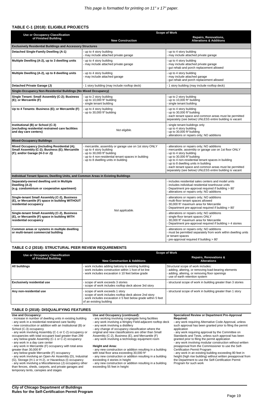# **TABLE C-1 (2018): ELIGIBLE PROJECTS**

| <b>Use or Occupancy Classification</b>                                                                                          | <b>Scope of Work</b>                                                                                                                                                                                               |                                                                                                                                                                                                                                                                                                                                                                                            |  |
|---------------------------------------------------------------------------------------------------------------------------------|--------------------------------------------------------------------------------------------------------------------------------------------------------------------------------------------------------------------|--------------------------------------------------------------------------------------------------------------------------------------------------------------------------------------------------------------------------------------------------------------------------------------------------------------------------------------------------------------------------------------------|--|
| of Finished Building                                                                                                            | <b>New Construction</b>                                                                                                                                                                                            | <b>Repairs, Renovations,</b><br><b>Alterations &amp; Additions</b>                                                                                                                                                                                                                                                                                                                         |  |
| <b>Exclusively Residential Buildings and Accessory Structures</b>                                                               |                                                                                                                                                                                                                    |                                                                                                                                                                                                                                                                                                                                                                                            |  |
| <b>Detached Single-Family Dwelling (A-1)</b>                                                                                    | - up to 4 story building<br>- may include attached private garage                                                                                                                                                  | - up to 4 story building<br>- may include attached private garage                                                                                                                                                                                                                                                                                                                          |  |
| Multiple Dwelling (A-2), up to 3 dwelling units                                                                                 | up to 4 story building<br>may include attached private garage                                                                                                                                                      | up to 4 story building<br>- may include attached private garage<br>gut rehab and porch replacement allowed                                                                                                                                                                                                                                                                                 |  |
| Multiple Dwelling (A-2), up to 8 dwelling units                                                                                 | up to 4 story building<br>may include attached garage                                                                                                                                                              | up to 4 story building<br>- may include attached garage<br>gut rehab and porch replacement allowed                                                                                                                                                                                                                                                                                         |  |
| Detached Private Garage (J)                                                                                                     | - 1 story building (may include rooftop deck)                                                                                                                                                                      | - 1 story building (may include rooftop deck)                                                                                                                                                                                                                                                                                                                                              |  |
| <b>Single-Occupancy Non-Residential Buildings (No Mixed Occupancy)</b>                                                          |                                                                                                                                                                                                                    |                                                                                                                                                                                                                                                                                                                                                                                            |  |
| Single Tenant: Small Assembly (C-2); Business<br>(E); or Mercantile (F)                                                         | up to 2 story building<br>- up to 10,000 ft <sup>2</sup> building<br>- single tenant building                                                                                                                      | - up to 2 story building<br>- up to 10,000 ft <sup>2</sup> building<br>- single tenant building                                                                                                                                                                                                                                                                                            |  |
| Up to 4 Tenants: Business (E); or Mercantile (F)                                                                                | - up to 4 story building<br>- up to 30,000 ft <sup>2</sup> building                                                                                                                                                | up to 4 story building<br>up to 30,000 ft <sup>2</sup> building<br>each tenant space and common areas must be permitted<br>separately (see below) UNLESS entire building is vacant                                                                                                                                                                                                         |  |
| Institutional (B) or School (C-3)<br>(excluding residential restrained care facilities<br>and day care centers)                 | Not eligible.                                                                                                                                                                                                      | single tenant buildings only<br>- up to 4 story building<br>- up to 30,000 ft <sup>2</sup> building<br>- alterations or repairs only; NO additions                                                                                                                                                                                                                                         |  |
| <b>Mixed-Occupancy Buildings</b>                                                                                                |                                                                                                                                                                                                                    |                                                                                                                                                                                                                                                                                                                                                                                            |  |
| Mixed Occupancy (including Residential (A);<br>Small Assembly (C-2); Business (E); Mercantile<br>(F); and/or Garage (H-3 or J)) | mercantile, assembly or garage use on 1st story ONLY<br>up to 4 story building<br>up to 30,000 ft <sup>2</sup> building<br>up to 4 non-residential tenant spaces in building<br>up to 8 dwelling units in building | alterations or repairs only; NO additions<br>- mercantile, assembly or garage use on 1st floor ONLY<br>- up to 4 story building<br>up to 30,000 ft <sup>2</sup> building<br>- up to 4 non-residential tenant spaces in building<br>- up to 8 dwelling units in building<br>each tenant space and common areas must be permitted<br>separately (see below) UNLESS entire building is vacant |  |
| Individual Tenant Spaces, Dwelling Units, and Common Areas in Existing Buildings                                                |                                                                                                                                                                                                                    |                                                                                                                                                                                                                                                                                                                                                                                            |  |
| Separately-owned dwelling unit in Multiple<br>Dwelling (A-2)<br>(e.g. condominium or cooperative apartment)                     |                                                                                                                                                                                                                    | includes residential sales centers and model units<br>includes individual residential townhouse units<br>Department pre-approval required if building > 80'<br>alterations or repairs only; NO additions                                                                                                                                                                                   |  |
| Single-tenant Small Assembly (C-2), Business<br>(E), or Mercantile (F) space in building WITHOUT<br>residential occupancy       | Not applicable.                                                                                                                                                                                                    | alterations or repairs only; NO additions<br>- multi-floor tenant spaces allowed<br>30,000 ft <sup>2</sup> maximum area for Mercantile<br>Department pre-approval required if building > 80'                                                                                                                                                                                               |  |
| Single-tenant Small Assembly (C-2), Business<br>(E), or Mercantile (F) space in building WITH<br>residential occupancy          |                                                                                                                                                                                                                    | alterations or repairs only; NO additions<br>single-floor tenant spaces ONLY<br>30,000 ft <sup>2</sup> maximum area for Mercantile<br>Department pre-approval required if building > 4 stories                                                                                                                                                                                             |  |
| Common areas or systems in multiple dwelling<br>or multi-tenant commercial building                                             |                                                                                                                                                                                                                    | alterations or repairs only; NO additions<br>- must be permitted separately from work within dwelling units<br>or tenant spaces<br>- pre-approval required if building > 80'                                                                                                                                                                                                               |  |

- increase in number of dwelling units in existing building
- any work in a residential restrained care facility
- **-** new construction or addition with an Institutional (B) or School (C-3) occupancy
- any work involving Assembly (C-1 or C-2) occupancy or occupancies with total occupant load greater than 299
- any below-grade Assembly (C-1 or C-2) occupancy
- any work in a day care center
- any work in Mercantile (F) occupancy with total area greater than 30,000 ft<sup>2</sup>

### **TABLE C-2 (2018): STRUCTURAL PEER REVIEW REQUIREMENTS**

|                                                                | <b>Scope of Work</b>                                                                                                                                                   |                                                                                                                                                                                  |  |
|----------------------------------------------------------------|------------------------------------------------------------------------------------------------------------------------------------------------------------------------|----------------------------------------------------------------------------------------------------------------------------------------------------------------------------------|--|
| <b>Use or Occupancy Classification</b><br>of Finished Building | <b>New Construction &amp; Additions</b>                                                                                                                                | <b>Repairs, Renovations &amp;</b><br><b>Alterations</b>                                                                                                                          |  |
| All buildings                                                  | - work includes adding balcony to existing building<br>- work includes construction within 1 foot of lot line<br>- work includes excavation $\geq 10$ feet below grade | Structural scope of work includes:<br>- adding, altering, or removing load-bearing elements<br>- adding, altering, or removing floor openings<br>- use of earth retention system |  |
| <b>Exclusively residential use</b>                             | - scope of work exceeds 3 stories<br>- scope of work includes rooftop deck above 3rd story                                                                             | - structural scope of work in building greater than 3 stories                                                                                                                    |  |
| Any non-residential use                                        | - scope of work exceeds 1 story<br>- scope of work includes rooftop deck above 2nd story<br>- work includes excavation $\geq$ 5 feet below grade within 5 feet         | - structural scope of work in building greater than 1 story                                                                                                                      |  |

### **TABLE D (2018): DISQUALIFYING FEATURES**

#### **Use and Occupancy:**

- any below-grade Mercantile (F) occupancy

- any work involving an Open-Air Assembly (D), Industrial (G), Storage (H-1 or H-2), or Hazardous (I) occupancy - any work involving a Miscellaneous (J) occupancy other than fences, sheds, carports, and private garages and temporary tents, canopies and stages
- **Use and Occupancy (***continued***):**
- any working involving congregate living facilities
- any work involving a Wrigley Field-adjacent rooftop deck
- any work involving a distillery

- any change of occupancy classification where the original and new classifications are other than Small Assembly (C-2), Business (E), and Mercantile (F)

- any work involving a technology equipment room

#### **Height and Area:**

- any new construction or addition resulting in a building with total floor area exceeding 30,000 ft<sup>2</sup>
- any new construction or addition resulting in a building exceeding 4 stories in height

- any new construction or addition resulting in a building exceeding 55 feet in height

#### **Specialized Review or Department Pre-Approval Required:**

**-** any work requiring Alternative Code Approval, unless such approval has been granted prior to filing the permit application

- any work requiring approval by the Committee on Standards and Tests, unless such approval has been granted prior to filing the permit application

- any work involving modular construction without written preapproval from the Commissioner to use the Self-Certification Permit Program

- any work in an existing building exceeding 80 feet in height (high rise building) without written preapproval from the Department to use the Self-Certification Permit Program for such work